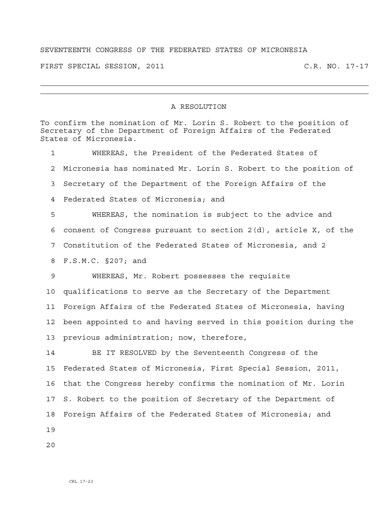## SEVENTEENTH CONGRESS OF THE FEDERATED STATES OF MICRONESIA

FIRST SPECIAL SESSION, 2011 C.R. NO. 17-17

## A RESOLUTION

To confirm the nomination of Mr. Lorin S. Robert to the position of Secretary of the Department of Foreign Affairs of the Federated States of Micronesia. 1 WHEREAS, the President of the Federated States of 2 Micronesia has nominated Mr. Lorin S. Robert to the position of 3 Secretary of the Department of the Foreign Affairs of the 4 Federated States of Micronesia; and 5 WHEREAS, the nomination is subject to the advice and 6 consent of Congress pursuant to section 2(d), article X, of the 7 Constitution of the Federated States of Micronesia, and 2 8 F.S.M.C. §207; and 9 WHEREAS, Mr. Robert possesses the requisite 10 qualifications to serve as the Secretary of the Department 11 Foreign Affairs of the Federated States of Micronesia, having 12 been appointed to and having served in this position during the 13 previous administration; now, therefore, 14 BE IT RESOLVED by the Seventeenth Congress of the 15 Federated States of Micronesia, First Special Session, 2011, 16 that the Congress hereby confirms the nomination of Mr. Lorin 17 S. Robert to the position of Secretary of the Department of

18 Foreign Affairs of the Federated States of Micronesia; and

19

 $2.0$